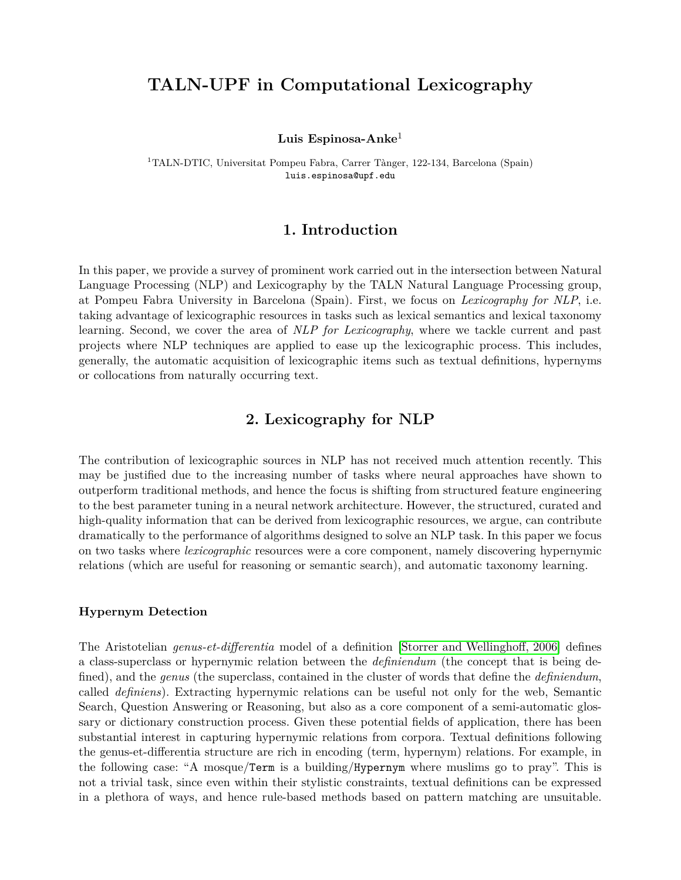# **TALN-UPF in Computational Lexicography**

**Luis Espinosa-Anke**<sup>1</sup>

<sup>1</sup>TALN-DTIC, Universitat Pompeu Fabra, Carrer Tànger, 122-134, Barcelona (Spain) luis.espinosa@upf.edu

### **1. Introduction**

In this paper, we provide a survey of prominent work carried out in the intersection between Natural Language Processing (NLP) and Lexicography by the TALN Natural Language Processing group, at Pompeu Fabra University in Barcelona (Spain). First, we focus on *Lexicography for NLP*, i.e. taking advantage of lexicographic resources in tasks such as lexical semantics and lexical taxonomy learning. Second, we cover the area of *NLP for Lexicography*, where we tackle current and past projects where NLP techniques are applied to ease up the lexicographic process. This includes, generally, the automatic acquisition of lexicographic items such as textual definitions, hypernyms or collocations from naturally occurring text.

## **2. Lexicography for NLP**

The contribution of lexicographic sources in NLP has not received much attention recently. This may be justified due to the increasing number of tasks where neural approaches have shown to outperform traditional methods, and hence the focus is shifting from structured feature engineering to the best parameter tuning in a neural network architecture. However, the structured, curated and high-quality information that can be derived from lexicographic resources, we argue, can contribute dramatically to the performance of algorithms designed to solve an NLP task. In this paper we focus on two tasks where *lexicographic* resources were a core component, namely discovering hypernymic relations (which are useful for reasoning or semantic search), and automatic taxonomy learning.

#### **Hypernym Detection**

The Aristotelian *genus-et-differentia* model of a definition [\[Storrer and Wellinghoff, 2006\]](#page-4-0) defines a class-superclass or hypernymic relation between the *definiendum* (the concept that is being defined), and the *genus* (the superclass, contained in the cluster of words that define the *definiendum*, called *definiens*). Extracting hypernymic relations can be useful not only for the web, Semantic Search, Question Answering or Reasoning, but also as a core component of a semi-automatic glossary or dictionary construction process. Given these potential fields of application, there has been substantial interest in capturing hypernymic relations from corpora. Textual definitions following the genus-et-differentia structure are rich in encoding (term, hypernym) relations. For example, in the following case: "A mosque/Term is a building/Hypernym where muslims go to pray". This is not a trivial task, since even within their stylistic constraints, textual definitions can be expressed in a plethora of ways, and hence rule-based methods based on pattern matching are unsuitable.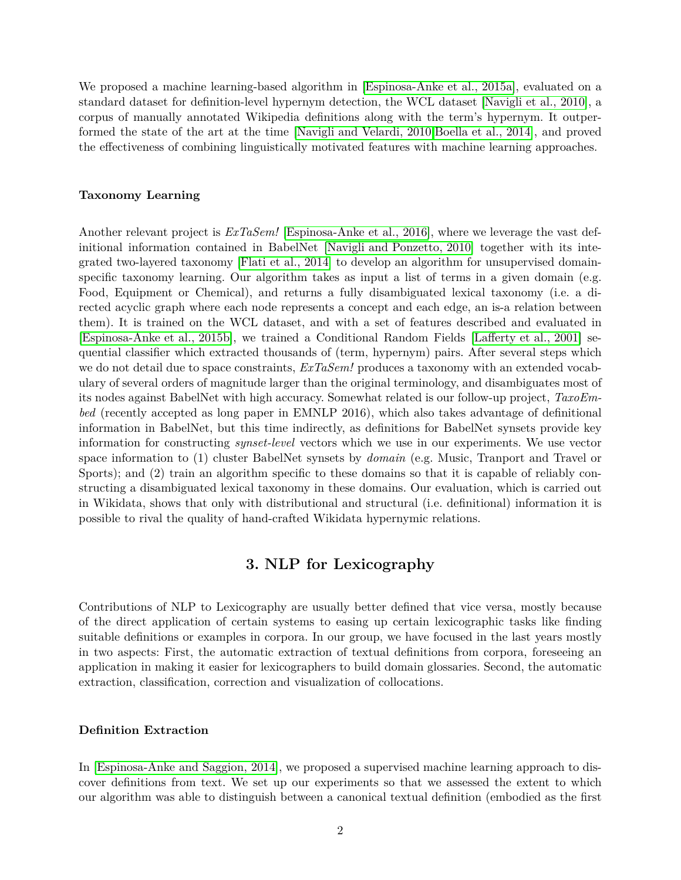We proposed a machine learning-based algorithm in [\[Espinosa-Anke et al., 2015a\]](#page-3-0), evaluated on a standard dataset for definition-level hypernym detection, the WCL dataset [\[Navigli et al., 2010\]](#page-4-1), a corpus of manually annotated Wikipedia definitions along with the term's hypernym. It outperformed the state of the art at the time [\[Navigli and Velardi, 2010,](#page-4-2)[Boella et al., 2014\]](#page-3-1), and proved the effectiveness of combining linguistically motivated features with machine learning approaches.

#### **Taxonomy Learning**

Another relevant project is *ExTaSem!* [\[Espinosa-Anke et al., 2016\]](#page-3-2), where we leverage the vast definitional information contained in BabelNet [\[Navigli and Ponzetto, 2010\]](#page-3-3) together with its integrated two-layered taxonomy [\[Flati et al., 2014\]](#page-3-4) to develop an algorithm for unsupervised domainspecific taxonomy learning. Our algorithm takes as input a list of terms in a given domain (e.g. Food, Equipment or Chemical), and returns a fully disambiguated lexical taxonomy (i.e. a directed acyclic graph where each node represents a concept and each edge, an is-a relation between them). It is trained on the WCL dataset, and with a set of features described and evaluated in [\[Espinosa-Anke et al., 2015b\]](#page-3-5), we trained a Conditional Random Fields [\[Lafferty et al., 2001\]](#page-3-6) sequential classifier which extracted thousands of (term, hypernym) pairs. After several steps which we do not detail due to space constraints, *ExTaSem!* produces a taxonomy with an extended vocabulary of several orders of magnitude larger than the original terminology, and disambiguates most of its nodes against BabelNet with high accuracy. Somewhat related is our follow-up project, *TaxoEmbed* (recently accepted as long paper in EMNLP 2016), which also takes advantage of definitional information in BabelNet, but this time indirectly, as definitions for BabelNet synsets provide key information for constructing *synset-level* vectors which we use in our experiments. We use vector space information to (1) cluster BabelNet synsets by *domain* (e.g. Music, Tranport and Travel or Sports); and (2) train an algorithm specific to these domains so that it is capable of reliably constructing a disambiguated lexical taxonomy in these domains. Our evaluation, which is carried out in Wikidata, shows that only with distributional and structural (i.e. definitional) information it is possible to rival the quality of hand-crafted Wikidata hypernymic relations.

### **3. NLP for Lexicography**

Contributions of NLP to Lexicography are usually better defined that vice versa, mostly because of the direct application of certain systems to easing up certain lexicographic tasks like finding suitable definitions or examples in corpora. In our group, we have focused in the last years mostly in two aspects: First, the automatic extraction of textual definitions from corpora, foreseeing an application in making it easier for lexicographers to build domain glossaries. Second, the automatic extraction, classification, correction and visualization of collocations.

#### **Definition Extraction**

In [\[Espinosa-Anke and Saggion, 2014\]](#page-3-7), we proposed a supervised machine learning approach to discover definitions from text. We set up our experiments so that we assessed the extent to which our algorithm was able to distinguish between a canonical textual definition (embodied as the first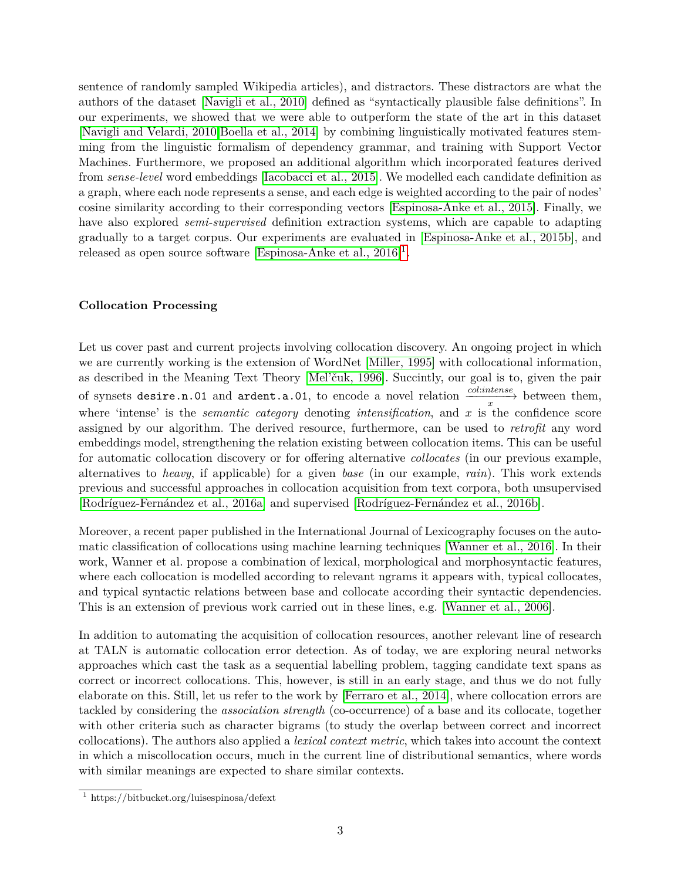sentence of randomly sampled Wikipedia articles), and distractors. These distractors are what the authors of the dataset [\[Navigli et al., 2010\]](#page-4-1) defined as "syntactically plausible false definitions". In our experiments, we showed that we were able to outperform the state of the art in this dataset [\[Navigli and Velardi, 2010,](#page-4-2)[Boella et al., 2014\]](#page-3-1) by combining linguistically motivated features stemming from the linguistic formalism of dependency grammar, and training with Support Vector Machines. Furthermore, we proposed an additional algorithm which incorporated features derived from *sense-level* word embeddings [\[Iacobacci et al., 2015\]](#page-3-8). We modelled each candidate definition as a graph, where each node represents a sense, and each edge is weighted according to the pair of nodes' cosine similarity according to their corresponding vectors [\[Espinosa-Anke et al., 2015\]](#page-3-9). Finally, we have also explored *semi-supervised* definition extraction systems, which are capable to adapting gradually to a target corpus. Our experiments are evaluated in [\[Espinosa-Anke et al., 2015b\]](#page-3-5), and released as open source software [Espinosa-Anke et al.,  $2016$  $2016$  $2016$ <sup>1</sup>.

#### **Collocation Processing**

Let us cover past and current projects involving collocation discovery. An ongoing project in which we are currently working is the extension of WordNet [\[Miller, 1995\]](#page-3-11) with collocational information, as described in the Meaning Text Theory [\[Mel'čuk, 1996\]](#page-3-12). Succintly, our goal is to, given the pair of synsets desire.n.01 and ardent.a.01, to encode a novel relation  $\frac{col:intense}{x}$  between them, where 'intense' is the *semantic category* denoting *intensification*, and  $x$  is the confidence score assigned by our algorithm. The derived resource, furthermore, can be used to *retrofit* any word embeddings model, strengthening the relation existing between collocation items. This can be useful for automatic collocation discovery or for offering alternative *collocates* (in our previous example, alternatives to *heavy*, if applicable) for a given *base* (in our example, *rain*). This work extends previous and successful approaches in collocation acquisition from text corpora, both unsupervised [\[Rodríguez-Fernández et al., 2016a\]](#page-4-3) and supervised [\[Rodríguez-Fernández et al., 2016b\]](#page-4-4).

Moreover, a recent paper published in the International Journal of Lexicography focuses on the automatic classification of collocations using machine learning techniques [\[Wanner et al., 2016\]](#page-4-5). In their work, Wanner et al. propose a combination of lexical, morphological and morphosyntactic features, where each collocation is modelled according to relevant ngrams it appears with, typical collocates, and typical syntactic relations between base and collocate according their syntactic dependencies. This is an extension of previous work carried out in these lines, e.g. [\[Wanner et al., 2006\]](#page-4-6).

In addition to automating the acquisition of collocation resources, another relevant line of research at TALN is automatic collocation error detection. As of today, we are exploring neural networks approaches which cast the task as a sequential labelling problem, tagging candidate text spans as correct or incorrect collocations. This, however, is still in an early stage, and thus we do not fully elaborate on this. Still, let us refer to the work by [\[Ferraro et al., 2014\]](#page-3-13), where collocation errors are tackled by considering the *association strength* (co-occurrence) of a base and its collocate, together with other criteria such as character bigrams (to study the overlap between correct and incorrect collocations). The authors also applied a *lexical context metric*, which takes into account the context in which a miscollocation occurs, much in the current line of distributional semantics, where words with similar meanings are expected to share similar contexts.

<span id="page-2-0"></span><sup>1</sup> https://bitbucket.org/luisespinosa/defext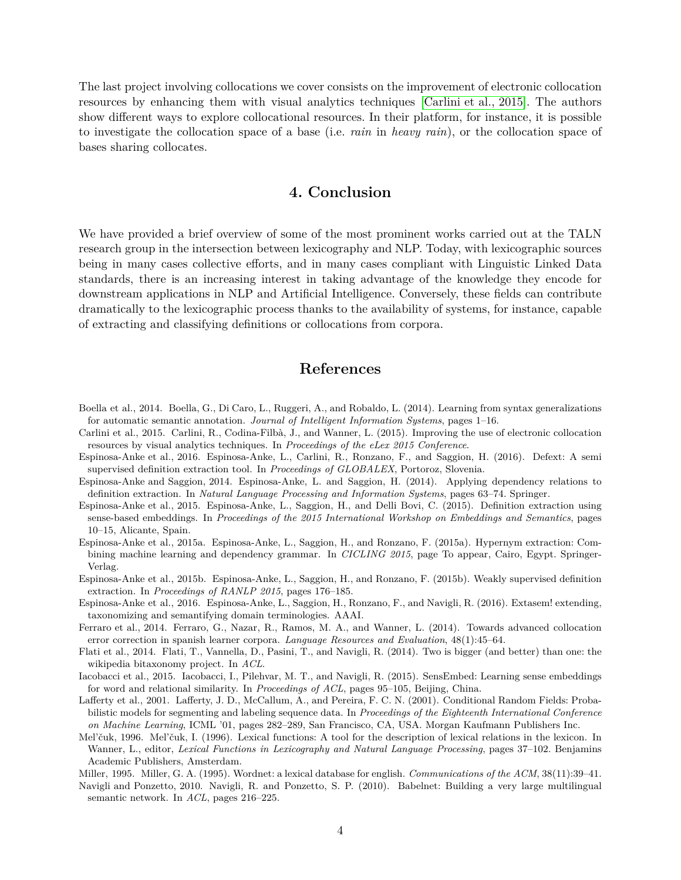The last project involving collocations we cover consists on the improvement of electronic collocation resources by enhancing them with visual analytics techniques [\[Carlini et al., 2015\]](#page-3-14). The authors show different ways to explore collocational resources. In their platform, for instance, it is possible to investigate the collocation space of a base (i.e. *rain* in *heavy rain*), or the collocation space of bases sharing collocates.

## **4. Conclusion**

We have provided a brief overview of some of the most prominent works carried out at the TALN research group in the intersection between lexicography and NLP. Today, with lexicographic sources being in many cases collective efforts, and in many cases compliant with Linguistic Linked Data standards, there is an increasing interest in taking advantage of the knowledge they encode for downstream applications in NLP and Artificial Intelligence. Conversely, these fields can contribute dramatically to the lexicographic process thanks to the availability of systems, for instance, capable of extracting and classifying definitions or collocations from corpora.

#### **References**

- <span id="page-3-1"></span>Boella et al., 2014. Boella, G., Di Caro, L., Ruggeri, A., and Robaldo, L. (2014). Learning from syntax generalizations for automatic semantic annotation. *Journal of Intelligent Information Systems*, pages 1–16.
- <span id="page-3-14"></span>Carlini et al., 2015. Carlini, R., Codina-Filbà, J., and Wanner, L. (2015). Improving the use of electronic collocation resources by visual analytics techniques. In *Proceedings of the eLex 2015 Conference*.
- <span id="page-3-10"></span>Espinosa-Anke et al., 2016. Espinosa-Anke, L., Carlini, R., Ronzano, F., and Saggion, H. (2016). Defext: A semi supervised definition extraction tool. In *Proceedings of GLOBALEX*, Portoroz, Slovenia.
- <span id="page-3-7"></span>Espinosa-Anke and Saggion, 2014. Espinosa-Anke, L. and Saggion, H. (2014). Applying dependency relations to definition extraction. In *Natural Language Processing and Information Systems*, pages 63–74. Springer.
- <span id="page-3-9"></span>Espinosa-Anke et al., 2015. Espinosa-Anke, L., Saggion, H., and Delli Bovi, C. (2015). Definition extraction using sense-based embeddings. In *Proceedings of the 2015 International Workshop on Embeddings and Semantics*, pages 10–15, Alicante, Spain.
- <span id="page-3-0"></span>Espinosa-Anke et al., 2015a. Espinosa-Anke, L., Saggion, H., and Ronzano, F. (2015a). Hypernym extraction: Combining machine learning and dependency grammar. In *CICLING 2015*, page To appear, Cairo, Egypt. Springer-Verlag.
- <span id="page-3-5"></span>Espinosa-Anke et al., 2015b. Espinosa-Anke, L., Saggion, H., and Ronzano, F. (2015b). Weakly supervised definition extraction. In *Proceedings of RANLP 2015*, pages 176–185.
- <span id="page-3-2"></span>Espinosa-Anke et al., 2016. Espinosa-Anke, L., Saggion, H., Ronzano, F., and Navigli, R. (2016). Extasem! extending, taxonomizing and semantifying domain terminologies. AAAI.
- <span id="page-3-13"></span>Ferraro et al., 2014. Ferraro, G., Nazar, R., Ramos, M. A., and Wanner, L. (2014). Towards advanced collocation error correction in spanish learner corpora. *Language Resources and Evaluation*, 48(1):45–64.
- <span id="page-3-4"></span>Flati et al., 2014. Flati, T., Vannella, D., Pasini, T., and Navigli, R. (2014). Two is bigger (and better) than one: the wikipedia bitaxonomy project. In *ACL*.
- <span id="page-3-8"></span>Iacobacci et al., 2015. Iacobacci, I., Pilehvar, M. T., and Navigli, R. (2015). SensEmbed: Learning sense embeddings for word and relational similarity. In *Proceedings of ACL*, pages 95–105, Beijing, China.
- <span id="page-3-6"></span>Lafferty et al., 2001. Lafferty, J. D., McCallum, A., and Pereira, F. C. N. (2001). Conditional Random Fields: Probabilistic models for segmenting and labeling sequence data. In *Proceedings of the Eighteenth International Conference on Machine Learning*, ICML '01, pages 282–289, San Francisco, CA, USA. Morgan Kaufmann Publishers Inc.
- <span id="page-3-12"></span>Mel'čuk, 1996. Mel'čuk, I. (1996). Lexical functions: A tool for the description of lexical relations in the lexicon. In Wanner, L., editor, *Lexical Functions in Lexicography and Natural Language Processing*, pages 37–102. Benjamins Academic Publishers, Amsterdam.
- <span id="page-3-11"></span>Miller, 1995. Miller, G. A. (1995). Wordnet: a lexical database for english. *Communications of the ACM*, 38(11):39–41.
- <span id="page-3-3"></span>Navigli and Ponzetto, 2010. Navigli, R. and Ponzetto, S. P. (2010). Babelnet: Building a very large multilingual semantic network. In *ACL*, pages 216–225.